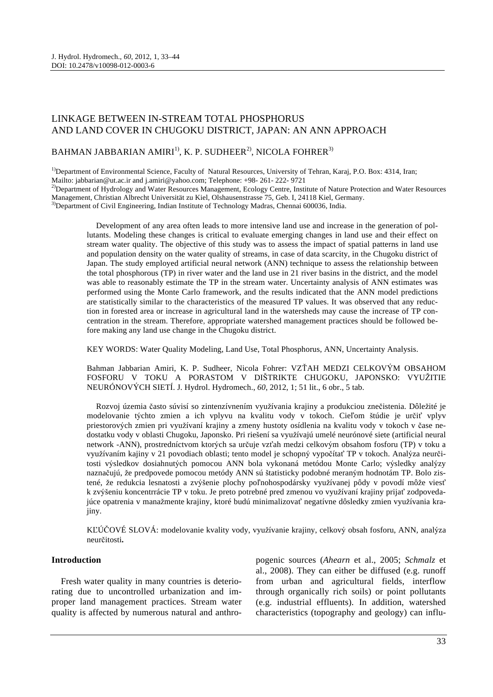# LINKAGE BETWEEN IN-STREAM TOTAL PHOSPHORUS AND LAND COVER IN CHUGOKU DISTRICT, JAPAN: AN ANN APPROACH

## BAHMAN JABBARIAN AMIRI<sup>1)</sup>, K. P. SUDHEER<sup>2)</sup>, NICOLA FOHRER<sup>3)</sup>

<sup>1</sup>Department of Environmental Science, Faculty of Natural Resources, University of Tehran, Karaj, P.O. Box: 4314, Iran;

Mailto: jabbarian@ut.ac.ir and j.amiri@yahoo.com; Telephone: +98- 261- 222- 9721

<sup>2)</sup>Department of Hydrology and Water Resources Management, Ecology Centre, Institute of Nature Protection and Water Resources Management, Christian Albrecht Universität zu Kiel, Olshausenstrasse 75, Geb. I, 24118 Kiel, Germany.

<sup>3</sup>Department of Civil Engineering, Indian Institute of Technology Madras, Chennai 600036, India.

Development of any area often leads to more intensive land use and increase in the generation of pollutants. Modeling these changes is critical to evaluate emerging changes in land use and their effect on stream water quality. The objective of this study was to assess the impact of spatial patterns in land use and population density on the water quality of streams, in case of data scarcity, in the Chugoku district of Japan. The study employed artificial neural network (ANN) technique to assess the relationship between the total phosphorous (TP) in river water and the land use in 21 river basins in the district, and the model was able to reasonably estimate the TP in the stream water. Uncertainty analysis of ANN estimates was performed using the Monte Carlo framework, and the results indicated that the ANN model predictions are statistically similar to the characteristics of the measured TP values. It was observed that any reduction in forested area or increase in agricultural land in the watersheds may cause the increase of TP concentration in the stream. Therefore, appropriate watershed management practices should be followed before making any land use change in the Chugoku district.

KEY WORDS: Water Quality Modeling, Land Use, Total Phosphorus, ANN, Uncertainty Analysis.

Bahman Jabbarian Amiri, K. P. Sudheer, Nicola Fohrer: VZŤAH MEDZI CELKOVÝM OBSAHOM FOSFORU V TOKU A PORASTOM V DIŠTRIKTE CHUGOKU, JAPONSKO: VYUŽITIE NEURÓNOVÝCH SIETÍ. J. Hydrol. Hydromech., *60*, 2012, 1; 51 lit., 6 obr., 5 tab.

Rozvoj územia často súvisí so zintenzívnením využívania krajiny a produkciou znečistenia. Dôležité je modelovanie týchto zmien a ich vplyvu na kvalitu vody v tokoch. Cieľom štúdie je určiť vplyv priestorových zmien pri využívaní krajiny a zmeny hustoty osídlenia na kvalitu vody v tokoch v čase nedostatku vody v oblasti Chugoku, Japonsko. Pri riešení sa využívajú umelé neurónové siete (artificial neural network -ANN), prostredníctvom ktorých sa určuje vzťah medzi celkovým obsahom fosforu (TP) v toku a využívaním kajiny v 21 povodiach oblasti; tento model je schopný vypočítať TP v tokoch. Analýza neurčitosti výsledkov dosiahnutých pomocou ANN bola vykonaná metódou Monte Carlo; výsledky analýzy naznačujú, že predpovede pomocou metódy ANN sú štatisticky podobné meraným hodnotám TP. Bolo zistené, že redukcia lesnatosti a zvýšenie plochy poľnohospodársky využívanej pôdy v povodí môže viesť k zvýšeniu koncentrrácie TP v toku. Je preto potrebné pred zmenou vo využívaní krajiny prijať zodpovedajúce opatrenia v manažmente krajiny, ktoré budú minimalizovať negatívne dôsledky zmien využívania krajiny.

KĽÚČOVÉ SLOVÁ: modelovanie kvality vody, využívanie krajiny, celkový obsah fosforu, ANN, analýza neurčitosti**.**

### **Introduction**

Fresh water quality in many countries is deteriorating due to uncontrolled urbanization and improper land management practices. Stream water quality is affected by numerous natural and anthro-

pogenic sources (*Ahearn* et al., 2005; *Schmalz* et al., 2008). They can either be diffused (e.g. runoff from urban and agricultural fields, interflow through organically rich soils) or point pollutants (e.g. industrial effluents). In addition, watershed characteristics (topography and geology) can influ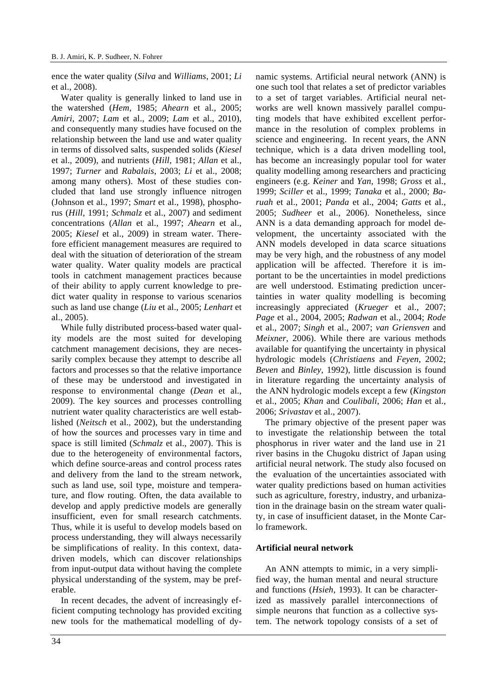ence the water quality (*Silva* and *Williams*, 2001; *Li* et al., 2008).

Water quality is generally linked to land use in the watershed (*Hem*, 1985; *Ahearn* et al., 2005; *Amiri*, 2007; *Lam* et al., 2009; *Lam* et al., 2010), and consequently many studies have focused on the relationship between the land use and water quality in terms of dissolved salts, suspended solids (*Kiesel* et al., 2009), and nutrients (*Hill*, 1981; *Allan* et al., 1997; *Turner* and *Rabalais*, 2003; *Li* et al., 2008; among many others). Most of these studies concluded that land use strongly influence nitrogen (Johnson et al., 1997; *Smart* et al., 1998), phosphorus (*Hill*, 1991; *Schmalz* et al., 2007) and sediment concentrations (*Allan* et al., 1997; *Ahearn* et al., 2005; *Kiesel* et al., 2009) in stream water. Therefore efficient management measures are required to deal with the situation of deterioration of the stream water quality. Water quality models are practical tools in catchment management practices because of their ability to apply current knowledge to predict water quality in response to various scenarios such as land use change (*Liu* et al., 2005; *Lenhart* et al., 2005).

While fully distributed process-based water quality models are the most suited for developing catchment management decisions, they are necessarily complex because they attempt to describe all factors and processes so that the relative importance of these may be understood and investigated in response to environmental change (*Dean* et al., 2009). The key sources and processes controlling nutrient water quality characteristics are well established (*Neitsch* et al., 2002), but the understanding of how the sources and processes vary in time and space is still limited (*Schmalz* et al., 2007). This is due to the heterogeneity of environmental factors, which define source-areas and control process rates and delivery from the land to the stream network, such as land use, soil type, moisture and temperature, and flow routing. Often, the data available to develop and apply predictive models are generally insufficient, even for small research catchments. Thus, while it is useful to develop models based on process understanding, they will always necessarily be simplifications of reality. In this context, datadriven models, which can discover relationships from input-output data without having the complete physical understanding of the system, may be preferable.

In recent decades, the advent of increasingly efficient computing technology has provided exciting new tools for the mathematical modelling of dy-

namic systems. Artificial neural network (ANN) is one such tool that relates a set of predictor variables to a set of target variables. Artificial neural networks are well known massively parallel computing models that have exhibited excellent performance in the resolution of complex problems in science and engineering. In recent years, the ANN technique, which is a data driven modelling tool, has become an increasingly popular tool for water quality modelling among researchers and practicing engineers (e.g. *Keiner* and *Yan*, 1998; *Gross* et al., 1999; *Sciller* et al., 1999; *Tanaka* et al., 2000; *Baruah* et al., 2001; *Panda* et al., 2004; *Gatts* et al., 2005; *Sudheer* et al., 2006). Nonetheless, since ANN is a data demanding approach for model development, the uncertainty associated with the ANN models developed in data scarce situations may be very high, and the robustness of any model application will be affected. Therefore it is important to be the uncertainties in model predictions are well understood. Estimating prediction uncertainties in water quality modelling is becoming increasingly appreciated (*Krueger* et al., 2007; *Page* et al., 2004, 2005; *Radwan* et al., 2004; *Rode* et al., 2007; *Singh* et al., 2007; *van Griensven* and *Meixner*, 2006). While there are various methods available for quantifying the uncertainty in physical hydrologic models (*Christiaens* and *Feyen*, 2002; *Beven* and *Binley*, 1992), little discussion is found in literature regarding the uncertainty analysis of the ANN hydrologic models except a few (*Kingston* et al., 2005; *Khan* and *Coulibali*, 2006; *Han* et al., 2006; *Srivastav* et al., 2007).

The primary objective of the present paper was to investigate the relationship between the total phosphorus in river water and the land use in 21 river basins in the Chugoku district of Japan using artificial neural network. The study also focused on the evaluation of the uncertainties associated with water quality predictions based on human activities such as agriculture, forestry, industry, and urbanization in the drainage basin on the stream water quality, in case of insufficient dataset, in the Monte Carlo framework.

### **Artificial neural network**

An ANN attempts to mimic, in a very simplified way, the human mental and neural structure and functions (*Hsieh*, 1993). It can be characterized as massively parallel interconnections of simple neurons that function as a collective system. The network topology consists of a set of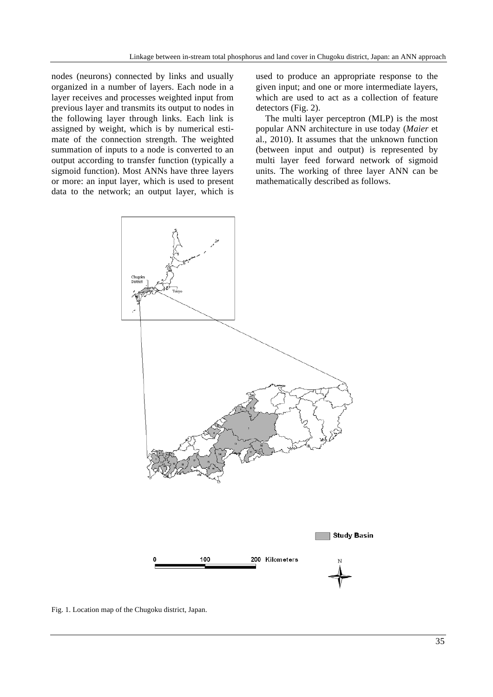nodes (neurons) connected by links and usually organized in a number of layers. Each node in a layer receives and processes weighted input from previous layer and transmits its output to nodes in the following layer through links. Each link is assigned by weight, which is by numerical estimate of the connection strength. The weighted summation of inputs to a node is converted to an output according to transfer function (typically a sigmoid function). Most ANNs have three layers or more: an input layer, which is used to present data to the network; an output layer, which is used to produce an appropriate response to the given input; and one or more intermediate layers, which are used to act as a collection of feature detectors (Fig. 2).

The multi layer perceptron (MLP) is the most popular ANN architecture in use today (*Maier* et al., 2010). It assumes that the unknown function (between input and output) is represented by multi layer feed forward network of sigmoid units. The working of three layer ANN can be mathematically described as follows.



Fig. 1. Location map of the Chugoku district, Japan.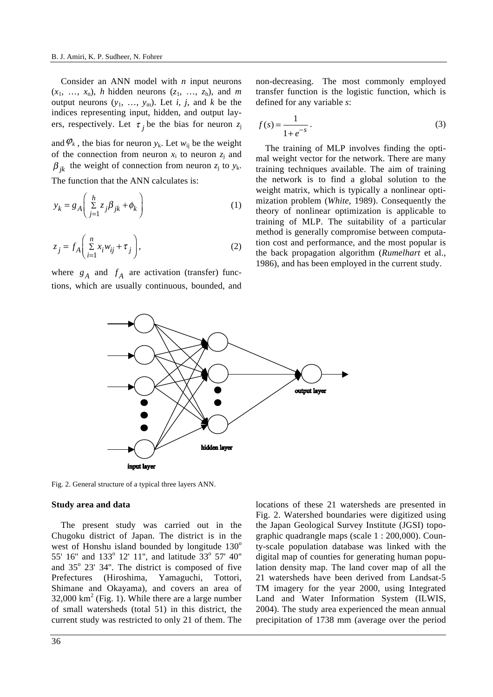Consider an ANN model with *n* input neurons  $(x_1, \ldots, x_n)$ , *h* hidden neurons  $(z_1, \ldots, z_n)$ , and *m* output neurons  $(y_1, \ldots, y_m)$ . Let *i*, *j*, and *k* be the indices representing input, hidden, and output layers, respectively. Let  $\tau_i$  be the bias for neuron  $z_j$ 

and  $\varphi_k$ , the bias for neuron  $y_k$ . Let  $w_{ij}$  be the weight of the connection from neuron  $x_i$  to neuron  $z_i$  and  $\beta_{ik}$  the weight of connection from neuron  $z_j$  to  $y_k$ . The function that the ANN calculates is:

$$
y_k = g_A \left( \sum_{j=1}^h z_j \beta_{jk} + \phi_k \right) \tag{1}
$$

$$
z_j = f_A \left( \sum_{i=1}^n x_i w_{ij} + \tau_j \right),
$$
 (2)

where  $g_A$  and  $f_A$  are activation (transfer) functions, which are usually continuous, bounded, and

non-decreasing. The most commonly employed transfer function is the logistic function, which is defined for any variable *s*:

$$
f(s) = \frac{1}{1 + e^{-s}}.\tag{3}
$$

The training of MLP involves finding the optimal weight vector for the network. There are many training techniques available. The aim of training the network is to find a global solution to the weight matrix, which is typically a nonlinear optimization problem (*White*, 1989). Consequently the theory of nonlinear optimization is applicable to training of MLP. The suitability of a particular method is generally compromise between computation cost and performance, and the most popular is the back propagation algorithm (*Rumelhart* et al., 1986), and has been employed in the current study.



Fig. 2. General structure of a typical three layers ANN.

#### **Study area and data**

The present study was carried out in the Chugoku district of Japan. The district is in the west of Honshu island bounded by longitude  $130^\circ$ 55' 16" and 133° 12' 11", and latitude 33° 57' 40" and 35° 23' 34". The district is composed of five Prefectures (Hiroshima, Yamaguchi, Tottori, Shimane and Okayama), and covers an area of  $32,000 \text{ km}^2$  (Fig. 1). While there are a large number of small watersheds (total 51) in this district, the current study was restricted to only 21 of them. The

locations of these 21 watersheds are presented in Fig. 2. Watershed boundaries were digitized using the Japan Geological Survey Institute (JGSI) topographic quadrangle maps (scale 1 : 200,000). County-scale population database was linked with the digital map of counties for generating human population density map. The land cover map of all the 21 watersheds have been derived from Landsat-5 TM imagery for the year 2000, using Integrated Land and Water Information System (ILWIS, 2004). The study area experienced the mean annual precipitation of 1738 mm (average over the period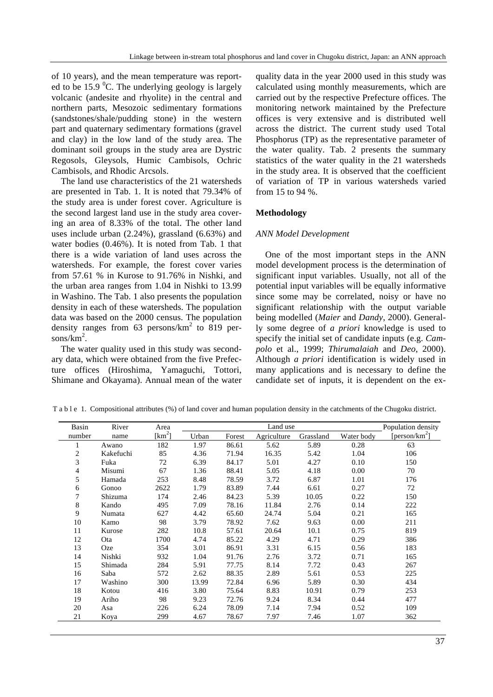of 10 years), and the mean temperature was reported to be 15.9  $\mathrm{^0C}$ . The underlying geology is largely volcanic (andesite and rhyolite) in the central and northern parts, Mesozoic sedimentary formations (sandstones/shale/pudding stone) in the western part and quaternary sedimentary formations (gravel and clay) in the low land of the study area. The dominant soil groups in the study area are Dystric Regosols, Gleysols, Humic Cambisols, Ochric Cambisols, and Rhodic Arcsols.

The land use characteristics of the 21 watersheds are presented in Tab. 1. It is noted that 79.34% of the study area is under forest cover. Agriculture is the second largest land use in the study area covering an area of 8.33% of the total. The other land uses include urban (2.24%), grassland (6.63%) and water bodies (0.46%). It is noted from Tab. 1 that there is a wide variation of land uses across the watersheds. For example, the forest cover varies from 57.61 % in Kurose to 91.76% in Nishki, and the urban area ranges from 1.04 in Nishki to 13.99 in Washino. The Tab. 1 also presents the population density in each of these watersheds. The population data was based on the 2000 census. The population density ranges from 63 persons/ $km^2$  to 819 per $sons/km<sup>2</sup>$ .

The water quality used in this study was secondary data, which were obtained from the five Prefecture offices (Hiroshima, Yamaguchi, Tottori, Shimane and Okayama). Annual mean of the water quality data in the year 2000 used in this study was calculated using monthly measurements, which are carried out by the respective Prefecture offices. The monitoring network maintained by the Prefecture offices is very extensive and is distributed well across the district. The current study used Total Phosphorus (TP) as the representative parameter of the water quality. Tab. 2 presents the summary statistics of the water quality in the 21 watersheds in the study area. It is observed that the coefficient of variation of TP in various watersheds varied from 15 to 94 %.

## **Methodology**

## *ANN Model Development*

One of the most important steps in the ANN model development process is the determination of significant input variables. Usually, not all of the potential input variables will be equally informative since some may be correlated, noisy or have no significant relationship with the output variable being modelled (*Maier* and *Dandy*, 2000). Generally some degree of *a priori* knowledge is used to specify the initial set of candidate inputs (e.g. *Campolo* et al., 1999; *Thirumalaiah* and *Deo*, 2000). Although *a priori* identification is widely used in many applications and is necessary to define the candidate set of inputs, it is dependent on the ex-

| Basin          | River     | Area       | Land use |        |             |           |            | Population density |
|----------------|-----------|------------|----------|--------|-------------|-----------|------------|--------------------|
| number         | name      | [ $km^2$ ] | Urban    | Forest | Agriculture | Grassland | Water body | [ $person/km2$ ]   |
|                | Awano     | 182        | 1.97     | 86.61  | 5.62        | 5.89      | 0.28       | 63                 |
| $\overline{c}$ | Kakefuchi | 85         | 4.36     | 71.94  | 16.35       | 5.42      | 1.04       | 106                |
| 3              | Fuka      | 72         | 6.39     | 84.17  | 5.01        | 4.27      | 0.10       | 150                |
| $\overline{4}$ | Misumi    | 67         | 1.36     | 88.41  | 5.05        | 4.18      | 0.00       | 70                 |
| 5              | Hamada    | 253        | 8.48     | 78.59  | 3.72        | 6.87      | 1.01       | 176                |
| 6              | Gonoo     | 2622       | 1.79     | 83.89  | 7.44        | 6.61      | 0.27       | 72                 |
| 7              | Shizuma   | 174        | 2.46     | 84.23  | 5.39        | 10.05     | 0.22       | 150                |
| $\,8\,$        | Kando     | 495        | 7.09     | 78.16  | 11.84       | 2.76      | 0.14       | 222                |
| 9              | Numata    | 627        | 4.42     | 65.60  | 24.74       | 5.04      | 0.21       | 165                |
| 10             | Kamo      | 98         | 3.79     | 78.92  | 7.62        | 9.63      | 0.00       | 211                |
| 11             | Kurose    | 282        | 10.8     | 57.61  | 20.64       | 10.1      | 0.75       | 819                |
| 12             | Ota       | 1700       | 4.74     | 85.22  | 4.29        | 4.71      | 0.29       | 386                |
| 13             | Oze       | 354        | 3.01     | 86.91  | 3.31        | 6.15      | 0.56       | 183                |
| 14             | Nishki    | 932        | 1.04     | 91.76  | 2.76        | 3.72      | 0.71       | 165                |
| 15             | Shimada   | 284        | 5.91     | 77.75  | 8.14        | 7.72      | 0.43       | 267                |
| 16             | Saba      | 572        | 2.62     | 88.35  | 2.89        | 5.61      | 0.53       | 225                |
| 17             | Washino   | 300        | 13.99    | 72.84  | 6.96        | 5.89      | 0.30       | 434                |
| 18             | Kotou     | 416        | 3.80     | 75.64  | 8.83        | 10.91     | 0.79       | 253                |
| 19             | Ariho     | 98         | 9.23     | 72.76  | 9.24        | 8.34      | 0.44       | 477                |
| 20             | Asa       | 226        | 6.24     | 78.09  | 7.14        | 7.94      | 0.52       | 109                |
| 21             | Koya      | 299        | 4.67     | 78.67  | 7.97        | 7.46      | 1.07       | 362                |

T a b l e 1. Compositional attributes (%) of land cover and human population density in the catchments of the Chugoku district.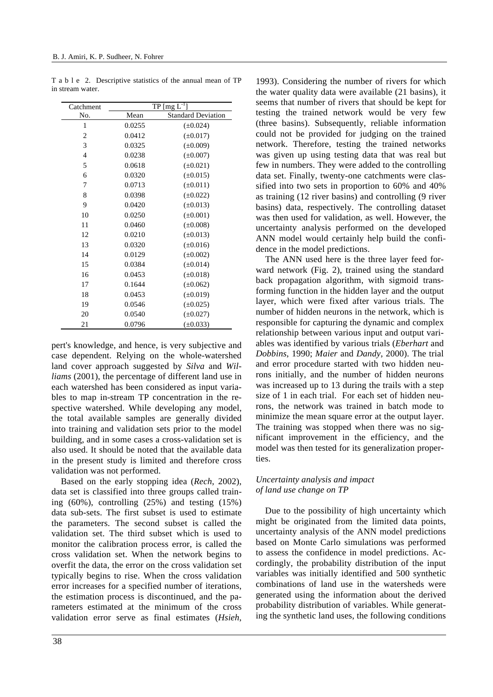| Catchment      |        | $TP [mg L-1]$             |  |  |
|----------------|--------|---------------------------|--|--|
| No.            | Mean   | <b>Standard Deviation</b> |  |  |
| 1              | 0.0255 | $(\pm 0.024)$             |  |  |
| $\overline{c}$ | 0.0412 | $(\pm 0.017)$             |  |  |
| 3              | 0.0325 | $(\pm 0.009)$             |  |  |
| $\overline{4}$ | 0.0238 | $(\pm 0.007)$             |  |  |
| 5              | 0.0618 | $(\pm 0.021)$             |  |  |
| 6              | 0.0320 | $(\pm 0.015)$             |  |  |
| 7              | 0.0713 | $(\pm 0.011)$             |  |  |
| 8              | 0.0398 | $(\pm 0.022)$             |  |  |
| 9              | 0.0420 | $(\pm 0.013)$             |  |  |
| 10             | 0.0250 | $(\pm 0.001)$             |  |  |
| 11             | 0.0460 | $(\pm 0.008)$             |  |  |
| 12             | 0.0210 | $(\pm 0.013)$             |  |  |
| 13             | 0.0320 | $(\pm 0.016)$             |  |  |
| 14             | 0.0129 | $(\pm 0.002)$             |  |  |
| 15             | 0.0384 | $(\pm 0.014)$             |  |  |
| 16             | 0.0453 | $(\pm 0.018)$             |  |  |
| 17             | 0.1644 | $(\pm 0.062)$             |  |  |
| 18             | 0.0453 | $(\pm 0.019)$             |  |  |
| 19             | 0.0546 | $(\pm 0.025)$             |  |  |
| 20             | 0.0540 | $(\pm 0.027)$             |  |  |
| 21             | 0.0796 | $(\pm 0.033)$             |  |  |

T a b l e 2. Descriptive statistics of the annual mean of TP in stream water.

pert's knowledge, and hence, is very subjective and case dependent. Relying on the whole-watershed land cover approach suggested by *Silva* and *Williams* (2001), the percentage of different land use in each watershed has been considered as input variables to map in-stream TP concentration in the respective watershed. While developing any model, the total available samples are generally divided into training and validation sets prior to the model building, and in some cases a cross-validation set is also used. It should be noted that the available data in the present study is limited and therefore cross validation was not performed.

Based on the early stopping idea (*Rech*, 2002), data set is classified into three groups called training (60%), controlling (25%) and testing (15%) data sub-sets. The first subset is used to estimate the parameters. The second subset is called the validation set. The third subset which is used to monitor the calibration process error, is called the cross validation set. When the network begins to overfit the data, the error on the cross validation set typically begins to rise. When the cross validation error increases for a specified number of iterations, the estimation process is discontinued, and the parameters estimated at the minimum of the cross validation error serve as final estimates (*Hsieh*,

the water quality data were available (21 basins), it seems that number of rivers that should be kept for testing the trained network would be very few (three basins). Subsequently, reliable information could not be provided for judging on the trained network. Therefore, testing the trained networks was given up using testing data that was real but few in numbers. They were added to the controlling data set. Finally, twenty-one catchments were classified into two sets in proportion to 60% and 40% as training (12 river basins) and controlling (9 river basins) data, respectively. The controlling dataset was then used for validation, as well. However, the uncertainty analysis performed on the developed ANN model would certainly help build the confidence in the model predictions.

1993). Considering the number of rivers for which

The ANN used here is the three layer feed forward network (Fig. 2), trained using the standard back propagation algorithm, with sigmoid transforming function in the hidden layer and the output layer, which were fixed after various trials. The number of hidden neurons in the network, which is responsible for capturing the dynamic and complex relationship between various input and output variables was identified by various trials (*Eberhart* and *Dobbins*, 1990; *Maier* and *Dandy*, 2000). The trial and error procedure started with two hidden neurons initially, and the number of hidden neurons was increased up to 13 during the trails with a step size of 1 in each trial. For each set of hidden neurons, the network was trained in batch mode to minimize the mean square error at the output layer. The training was stopped when there was no significant improvement in the efficiency, and the model was then tested for its generalization properties.

## *Uncertainty analysis and impact of land use change on TP*

Due to the possibility of high uncertainty which might be originated from the limited data points, uncertainty analysis of the ANN model predictions based on Monte Carlo simulations was performed to assess the confidence in model predictions. Accordingly, the probability distribution of the input variables was initially identified and 500 synthetic combinations of land use in the watersheds were generated using the information about the derived probability distribution of variables. While generating the synthetic land uses, the following conditions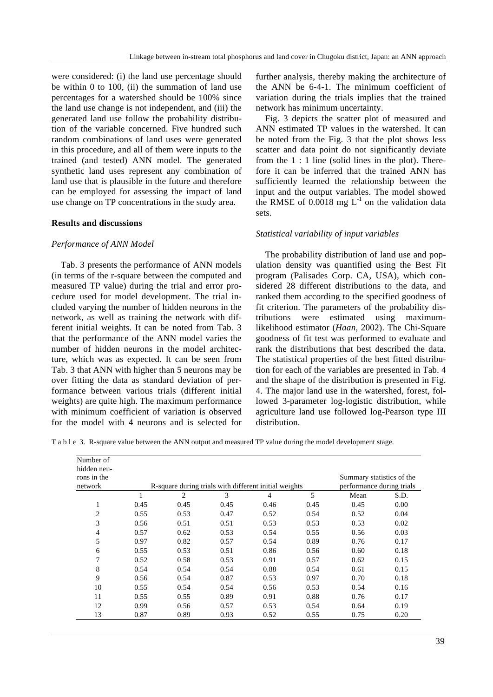were considered: (i) the land use percentage should be within 0 to 100, (ii) the summation of land use percentages for a watershed should be 100% since the land use change is not independent, and (iii) the generated land use follow the probability distribution of the variable concerned. Five hundred such random combinations of land uses were generated in this procedure, and all of them were inputs to the trained (and tested) ANN model. The generated synthetic land uses represent any combination of land use that is plausible in the future and therefore can be employed for assessing the impact of land use change on TP concentrations in the study area.

### **Results and discussions**

#### *Performance of ANN Model*

Tab. 3 presents the performance of ANN models (in terms of the r-square between the computed and measured TP value) during the trial and error procedure used for model development. The trial included varying the number of hidden neurons in the network, as well as training the network with different initial weights. It can be noted from Tab. 3 that the performance of the ANN model varies the number of hidden neurons in the model architecture, which was as expected. It can be seen from Tab. 3 that ANN with higher than 5 neurons may be over fitting the data as standard deviation of performance between various trials (different initial weights) are quite high. The maximum performance with minimum coefficient of variation is observed for the model with 4 neurons and is selected for

further analysis, thereby making the architecture of the ANN be 6-4-1. The minimum coefficient of variation during the trials implies that the trained network has minimum uncertainty.

Fig. 3 depicts the scatter plot of measured and ANN estimated TP values in the watershed. It can be noted from the Fig. 3 that the plot shows less scatter and data point do not significantly deviate from the 1 : 1 line (solid lines in the plot). Therefore it can be inferred that the trained ANN has sufficiently learned the relationship between the input and the output variables. The model showed the RMSE of  $0.0018$  mg L<sup>-1</sup> on the validation data sets.

### *Statistical variability of input variables*

The probability distribution of land use and population density was quantified using the Best Fit program (Palisades Corp. CA, USA), which considered 28 different distributions to the data, and ranked them according to the specified goodness of fit criterion. The parameters of the probability distributions were estimated using maximumlikelihood estimator (*Haan*, 2002). The Chi-Square goodness of fit test was performed to evaluate and rank the distributions that best described the data. The statistical properties of the best fitted distribution for each of the variables are presented in Tab. 4 and the shape of the distribution is presented in Fig. 4. The major land use in the watershed, forest, followed 3-parameter log-logistic distribution, while agriculture land use followed log-Pearson type III distribution.

T a b l e 3. R-square value between the ANN output and measured TP value during the model development stage.

| Number of<br>hidden neu-<br>rons in the |                                                                                    |      |      |                |      | Summary statistics of the |      |  |  |
|-----------------------------------------|------------------------------------------------------------------------------------|------|------|----------------|------|---------------------------|------|--|--|
| network                                 | R-square during trials with different initial weights<br>performance during trials |      |      |                |      |                           |      |  |  |
|                                         | 1                                                                                  | 2    | 3    | $\overline{4}$ | 5    | Mean                      | S.D. |  |  |
| 1                                       | 0.45                                                                               | 0.45 | 0.45 | 0.46           | 0.45 | 0.45                      | 0.00 |  |  |
| $\overline{c}$                          | 0.55                                                                               | 0.53 | 0.47 | 0.52           | 0.54 | 0.52                      | 0.04 |  |  |
| 3                                       | 0.56                                                                               | 0.51 | 0.51 | 0.53           | 0.53 | 0.53                      | 0.02 |  |  |
| 4                                       | 0.57                                                                               | 0.62 | 0.53 | 0.54           | 0.55 | 0.56                      | 0.03 |  |  |
| 5                                       | 0.97                                                                               | 0.82 | 0.57 | 0.54           | 0.89 | 0.76                      | 0.17 |  |  |
| 6                                       | 0.55                                                                               | 0.53 | 0.51 | 0.86           | 0.56 | 0.60                      | 0.18 |  |  |
| 7                                       | 0.52                                                                               | 0.58 | 0.53 | 0.91           | 0.57 | 0.62                      | 0.15 |  |  |
| 8                                       | 0.54                                                                               | 0.54 | 0.54 | 0.88           | 0.54 | 0.61                      | 0.15 |  |  |
| 9                                       | 0.56                                                                               | 0.54 | 0.87 | 0.53           | 0.97 | 0.70                      | 0.18 |  |  |
| 10                                      | 0.55                                                                               | 0.54 | 0.54 | 0.56           | 0.53 | 0.54                      | 0.16 |  |  |
| 11                                      | 0.55                                                                               | 0.55 | 0.89 | 0.91           | 0.88 | 0.76                      | 0.17 |  |  |
| 12                                      | 0.99                                                                               | 0.56 | 0.57 | 0.53           | 0.54 | 0.64                      | 0.19 |  |  |
| 13                                      | 0.87                                                                               | 0.89 | 0.93 | 0.52           | 0.55 | 0.75                      | 0.20 |  |  |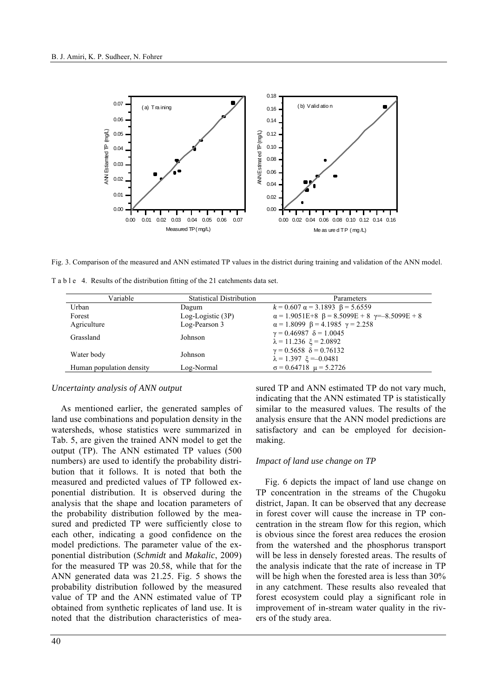

Fig. 3. Comparison of the measured and ANN estimated TP values in the district during training and validation of the ANN model.

| T a b l e 4. Results of the distribution fitting of the 21 catchments data set. |  |
|---------------------------------------------------------------------------------|--|
|---------------------------------------------------------------------------------|--|

| Variable                 | <b>Statistical Distribution</b> | Parameters                                                              |
|--------------------------|---------------------------------|-------------------------------------------------------------------------|
| Urban                    | Dagum                           | $k = 0.607 \alpha = 3.1893 \beta = 5.6559$                              |
| Forest                   | $Log-Logistic(3P)$              | $\alpha = 1.9051E+8$ $\beta = 8.5099E + 8$ $\gamma = -8.5099E + 8$      |
| Agriculture              | Log-Pearson 3                   | $\alpha = 1.8099 \ \beta = 4.1985 \ \gamma = 2.258$                     |
| Grassland                | Johnson                         | $\gamma = 0.46987$ $\delta = 1.0045$<br>$\lambda = 11.236 \xi = 2.0892$ |
| Water body               | Johnson                         | $\gamma = 0.5658$ $\delta = 0.76132$<br>$\lambda = 1.397 \xi = -0.0481$ |
| Human population density | Log-Normal                      | $\sigma$ = 0.64718 $\mu$ = 5.2726                                       |

#### *Uncertainty analysis of ANN output*

As mentioned earlier, the generated samples of land use combinations and population density in the watersheds, whose statistics were summarized in Tab. 5, are given the trained ANN model to get the output (TP). The ANN estimated TP values (500 numbers) are used to identify the probability distribution that it follows. It is noted that both the measured and predicted values of TP followed exponential distribution. It is observed during the analysis that the shape and location parameters of the probability distribution followed by the measured and predicted TP were sufficiently close to each other, indicating a good confidence on the model predictions. The parameter value of the exponential distribution (*Schmidt* and *Makalic*, 2009) for the measured TP was 20.58, while that for the ANN generated data was 21.25. Fig. 5 shows the probability distribution followed by the measured value of TP and the ANN estimated value of TP obtained from synthetic replicates of land use. It is noted that the distribution characteristics of measured TP and ANN estimated TP do not vary much, indicating that the ANN estimated TP is statistically similar to the measured values. The results of the analysis ensure that the ANN model predictions are satisfactory and can be employed for decisionmaking.

#### *Impact of land use change on TP*

Fig. 6 depicts the impact of land use change on TP concentration in the streams of the Chugoku district, Japan. It can be observed that any decrease in forest cover will cause the increase in TP concentration in the stream flow for this region, which is obvious since the forest area reduces the erosion from the watershed and the phosphorus transport will be less in densely forested areas. The results of the analysis indicate that the rate of increase in TP will be high when the forested area is less than 30% in any catchment. These results also revealed that forest ecosystem could play a significant role in improvement of in-stream water quality in the rivers of the study area.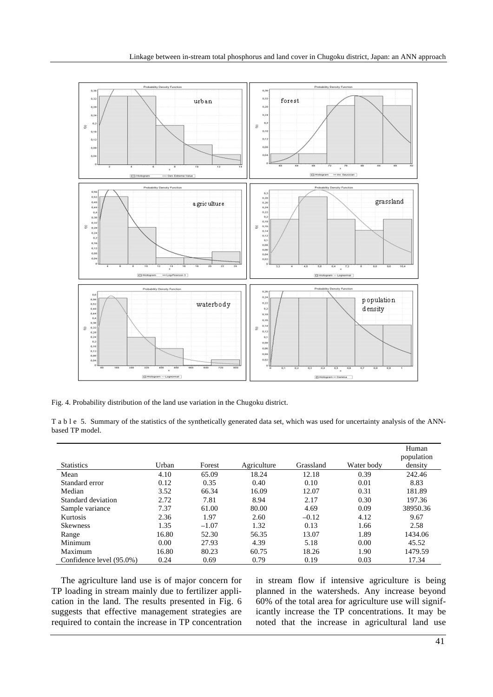

Fig. 4. Probability distribution of the land use variation in the Chugoku district.

|                 | T a b l e 5. Summary of the statistics of the synthetically generated data set, which was used for uncertainty analysis of the ANN- |  |  |  |  |  |
|-----------------|-------------------------------------------------------------------------------------------------------------------------------------|--|--|--|--|--|
| based TP model. |                                                                                                                                     |  |  |  |  |  |

|                          |       |         |             |           |            | Human<br>population |
|--------------------------|-------|---------|-------------|-----------|------------|---------------------|
| <b>Statistics</b>        | Urban | Forest  | Agriculture | Grassland | Water body | density             |
| Mean                     | 4.10  | 65.09   | 18.24       | 12.18     | 0.39       | 242.46              |
| Standard error           | 0.12  | 0.35    | 0.40        | 0.10      | 0.01       | 8.83                |
| Median                   | 3.52  | 66.34   | 16.09       | 12.07     | 0.31       | 181.89              |
| Standard deviation       | 2.72  | 7.81    | 8.94        | 2.17      | 0.30       | 197.36              |
| Sample variance          | 7.37  | 61.00   | 80.00       | 4.69      | 0.09       | 38950.36            |
| Kurtosis                 | 2.36  | 1.97    | 2.60        | $-0.12$   | 4.12       | 9.67                |
| <b>Skewness</b>          | 1.35  | $-1.07$ | 1.32        | 0.13      | 1.66       | 2.58                |
| Range                    | 16.80 | 52.30   | 56.35       | 13.07     | 1.89       | 1434.06             |
| Minimum                  | 0.00  | 27.93   | 4.39        | 5.18      | 0.00       | 45.52               |
| Maximum                  | 16.80 | 80.23   | 60.75       | 18.26     | 1.90       | 1479.59             |
| Confidence level (95.0%) | 0.24  | 0.69    | 0.79        | 0.19      | 0.03       | 17.34               |

The agriculture land use is of major concern for TP loading in stream mainly due to fertilizer application in the land. The results presented in Fig. 6 suggests that effective management strategies are required to contain the increase in TP concentration in stream flow if intensive agriculture is being planned in the watersheds. Any increase beyond 60% of the total area for agriculture use will significantly increase the TP concentrations. It may be noted that the increase in agricultural land use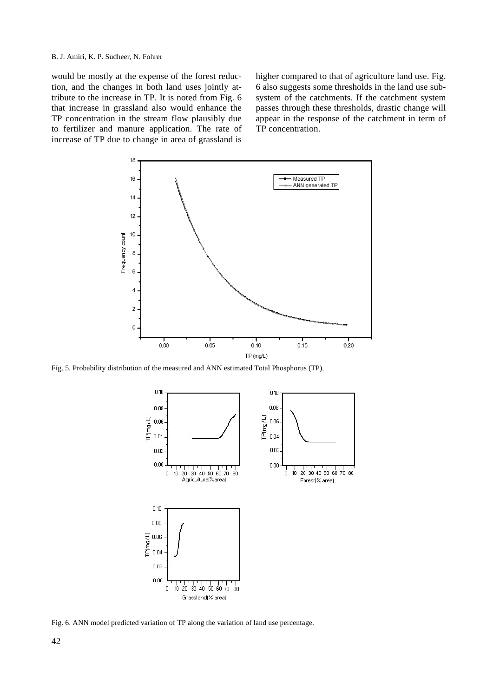would be mostly at the expense of the forest reduction, and the changes in both land uses jointly attribute to the increase in TP. It is noted from Fig. 6 that increase in grassland also would enhance the TP concentration in the stream flow plausibly due to fertilizer and manure application. The rate of increase of TP due to change in area of grassland is

higher compared to that of agriculture land use. Fig. 6 also suggests some thresholds in the land use subsystem of the catchments. If the catchment system passes through these thresholds, drastic change will appear in the response of the catchment in term of TP concentration.



Fig. 5. Probability distribution of the measured and ANN estimated Total Phosphorus (TP).



Fig. 6. ANN model predicted variation of TP along the variation of land use percentage.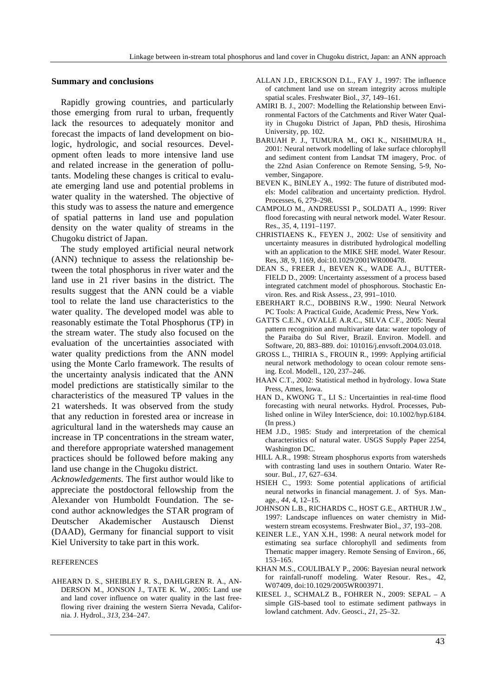## **Summary and conclusions**

Rapidly growing countries, and particularly those emerging from rural to urban, frequently lack the resources to adequately monitor and forecast the impacts of land development on biologic, hydrologic, and social resources. Development often leads to more intensive land use and related increase in the generation of pollutants. Modeling these changes is critical to evaluate emerging land use and potential problems in water quality in the watershed. The objective of this study was to assess the nature and emergence of spatial patterns in land use and population density on the water quality of streams in the Chugoku district of Japan.

The study employed artificial neural network (ANN) technique to assess the relationship between the total phosphorus in river water and the land use in 21 river basins in the district. The results suggest that the ANN could be a viable tool to relate the land use characteristics to the water quality. The developed model was able to reasonably estimate the Total Phosphorus (TP) in the stream water. The study also focused on the evaluation of the uncertainties associated with water quality predictions from the ANN model using the Monte Carlo framework. The results of the uncertainty analysis indicated that the ANN model predictions are statistically similar to the characteristics of the measured TP values in the 21 watersheds. It was observed from the study that any reduction in forested area or increase in agricultural land in the watersheds may cause an increase in TP concentrations in the stream water, and therefore appropriate watershed management practices should be followed before making any land use change in the Chugoku district.

*Acknowledgements.* The first author would like to appreciate the postdoctoral fellowship from the Alexander von Humboldt Foundation. The second author acknowledges the STAR program of Deutscher Akademischer Austausch Dienst (DAAD), Germany for financial support to visit Kiel University to take part in this work.

#### REFERENCES

AHEARN D. S., SHEIBLEY R. S., DAHLGREN R. A., AN-DERSON M., JONSON J., TATE K. W., 2005: Land use and land cover influence on water quality in the last freeflowing river draining the western Sierra Nevada, California. J. Hydrol., *313*, 234–247.

- ALLAN J.D., ERICKSON D.L., FAY J., 1997: The influence of catchment land use on stream integrity across multiple spatial scales. Freshwater Biol., *37*, 149–161.
- AMIRI B. J., 2007: Modelling the Relationship between Environmental Factors of the Catchments and River Water Quality in Chugoku District of Japan, PhD thesis, Hiroshima University, pp. 102.
- BARUAH P. J., TUMURA M., OKI K., NISHIMURA H., 2001: Neural network modelling of lake surface chlorophyll and sediment content from Landsat TM imagery, Proc. of the 22nd Asian Conference on Remote Sensing, 5-9, November, Singapore.
- BEVEN K., BINLEY A., 1992: The future of distributed models: Model calibration and uncertainty prediction. Hydrol. Processes, 6, 279–298.
- CAMPOLO M., ANDREUSSI P., SOLDATI A., 1999: River flood forecasting with neural network model. Water Resour. Res., *35*, 4, 1191–1197.
- CHRISTIAENS K., FEYEN J., 2002: Use of sensitivity and uncertainty measures in distributed hydrological modelling with an application to the MIKE SHE model. Water Resour. Res, *38*, 9, 1169, doi:10.1029/2001WR000478.
- DEAN S., FREER J., BEVEN K., WADE A.J., BUTTER-FIELD D., 2009: Uncertainty assessment of a process based integrated catchment model of phosphorous. Stochastic Environ. Res. and Risk Assess., *23*, 991–1010.
- EBERHART R.C., DOBBINS R.W., 1990: Neural Network PC Tools: A Practical Guide, Academic Press, New York.
- GATTS C.E.N., OVALLE A.R.C., SILVA C.F., 2005: Neural pattern recognition and multivariate data: water topology of the Paraiba do Sul River, Brazil. Environ. Modell. and Software, 20, 883–889. doi: 101016/j.envsoft.2004.03.018.
- GROSS L., THIRIA S., FROUIN R., 1999: Applying artificial neural network methodology to ocean colour remote sensing. Ecol. Modell., 120, 237–246.
- HAAN C.T., 2002: Statistical method in hydrology. Iowa State Press, Ames, Iowa.
- HAN D., KWONG T., LI S.: Uncertainties in real-time flood forecasting with neural networks. Hydrol. Processes, Published online in Wiley InterScience, doi: 10.1002/hyp.6184. (In press.)
- HEM J.D., 1985: Study and interpretation of the chemical characteristics of natural water. USGS Supply Paper 2254, Washington DC.
- HILL A.R., 1998: Stream phosphorus exports from watersheds with contrasting land uses in southern Ontario. Water Resour. Bul., *17*, 627–634.
- HSIEH C., 1993: Some potential applications of artificial neural networks in financial management. J. of Sys. Manage., *44*, 4, 12–15.
- JOHNSON L.B., RICHARDS C., HOST G.E., ARTHUR J.W., 1997: Landscape influences on water chemistry in Midwestern stream ecosystems. Freshwater Biol., *37*, 193–208.
- KEINER L.E., YAN X.H., 1998: A neural network model for estimating sea surface chlorophyll and sediments from Thematic mapper imagery. Remote Sensing of Environ., *66*, 153–165.
- KHAN M.S., COULIBALY P., 2006: Bayesian neural network for rainfall-runoff modeling. Water Resour. Res., 42, W07409, doi:10.1029/2005WR003971.
- KIESEL J., SCHMALZ B., FOHRER N., 2009: SEPAL A simple GIS-based tool to estimate sediment pathways in lowland catchment. Adv. Geosci., *21*, 25–32.